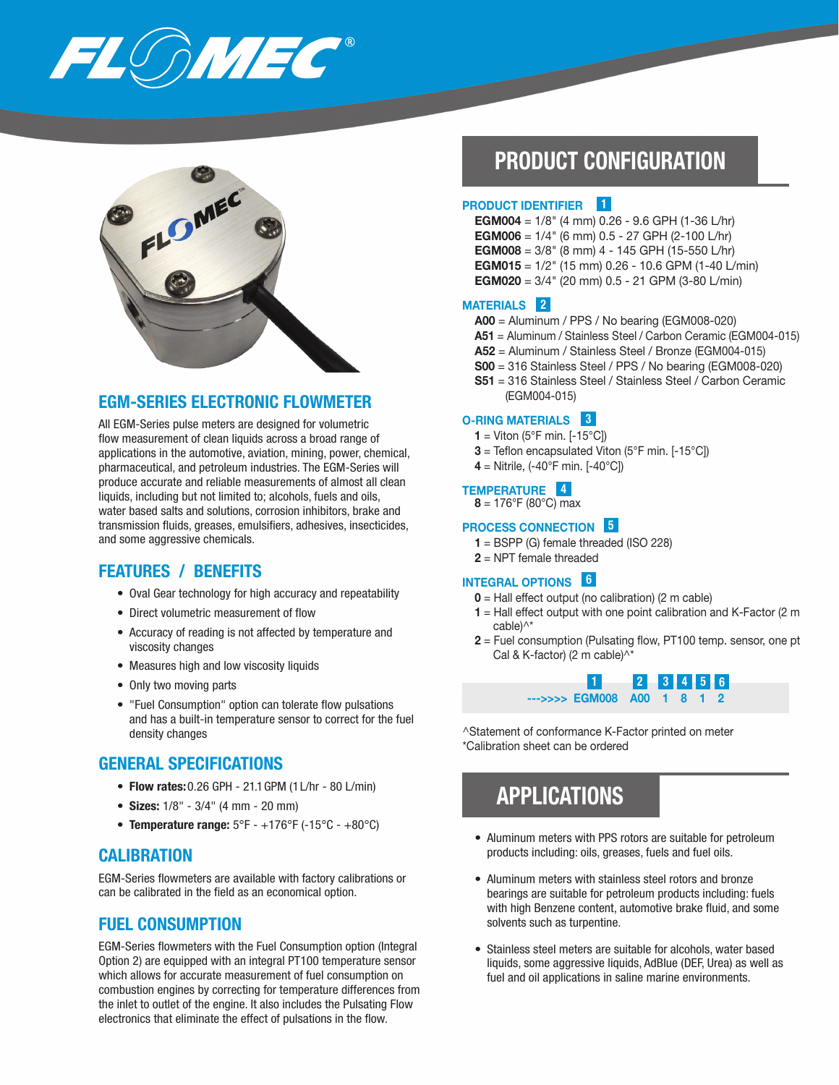



## EGM-SERIES ELECTRONIC FLOWMETER

All EGM-Series pulse meters are designed for volumetric flow measurement of clean liquids across a broad range of applications in the automotive, aviation, mining, power, chemical, pharmaceutical, and petroleum industries. The EGM-Series will produce accurate and reliable measurements of almost all clean liquids, including but not limited to; alcohols, fuels and oils, water based salts and solutions, corrosion inhibitors, brake and transmission fluids, greases, emulsifiers, adhesives, insecticides, and some aggressive chemicals.

# FEATURES / BENEFITS

- Oval Gear technology for high accuracy and repeatability
- Direct volumetric measurement of flow
- Accuracy of reading is not affected by temperature and viscosity changes
- Measures high and low viscosity liquids
- Only two moving parts
- "Fuel Consumption" option can tolerate flow pulsations and has a built-in temperature sensor to correct for the fuel density changes

### GENERAL SPECIFICATIONS

- Flow rates: 0.26 GPH 21.1 GPM (1 L/hr 80 L/min)
- Sizes: 1/8" 3/4" (4 mm 20 mm)
- Temperature range:  $5^{\circ}F +176^{\circ}F (15^{\circ}C +80^{\circ}C)$

### **CALIBRATION**

EGM-Series flowmeters are available with factory calibrations or can be calibrated in the field as an economical option.

## FUEL CONSUMPTION

EGM-Series flowmeters with the Fuel Consumption option (Integral Option 2) are equipped with an integral PT100 temperature sensor which allows for accurate measurement of fuel consumption on combustion engines by correcting for temperature differences from the inlet to outlet of the engine. It also includes the Pulsating Flow electronics that eliminate the effect of pulsations in the flow.

# PRODUCT CONFIGURATION

#### PRODUCT IDENTIFIER 1

- **EGM004** =  $1/8$ " (4 mm) 0.26 9.6 GPH (1-36 L/hr)
- **EGM006** =  $1/4$ " (6 mm) 0.5 27 GPH (2-100 L/hr)
- **EGM008** =  $3/8$ " (8 mm) 4 145 GPH (15-550 L/hr)
- **EGM015** =  $1/2$ " (15 mm) 0.26 10.6 GPM (1-40 L/min)
- **EGM020** =  $3/4$ " (20 mm) 0.5 21 GPM (3-80 L/min)

#### MATERIALS 2

- A00 = Aluminum / PPS / No bearing (EGM008-020)
- A51 = Aluminum / Stainless Steel / Carbon Ceramic (EGM004-015)
- A52 = Aluminum / Stainless Steel / Bronze (EGM004-015)
- S00 = 316 Stainless Steel / PPS / No bearing (EGM008-020)
- S51 = 316 Stainless Steel / Stainless Steel / Carbon Ceramic (EGM004-015)

#### O-RING MATERIALS 3

- $1 =$  Viton (5°F min. [-15°C])
- $3$  = Teflon encapsulated Viton (5°F min. [-15°C])
- **4** = Nitrile,  $(-40^{\circ}F \text{ min. } [-40^{\circ}C])$

#### TEMPERATURE 4

 $8 = 176^{\circ}F(80^{\circ}C)$  max

#### PROCESS CONNECTION 5

- $1 = BSPP$  (G) female threaded (ISO 228)
- $2$  = NPT female threaded

## INTEGRAL OPTIONS 6

- $0 =$  Hall effect output (no calibration) (2 m cable)
- $1$  = Hall effect output with one point calibration and K-Factor (2 m cable)^\*
- 2 = Fuel consumption (Pulsating flow, PT100 temp. sensor, one pt Cal & K-factor) (2 m cable)^\*



^Statement of conformance K-Factor printed on meter \*Calibration sheet can be ordered

# APPLICATIONS

- Aluminum meters with PPS rotors are suitable for petroleum products including: oils, greases, fuels and fuel oils.
- Aluminum meters with stainless steel rotors and bronze bearings are suitable for petroleum products including: fuels with high Benzene content, automotive brake fluid, and some solvents such as turpentine.
- Stainless steel meters are suitable for alcohols, water based liquids, some aggressive liquids, AdBlue (DEF, Urea) as well as fuel and oil applications in saline marine environments.